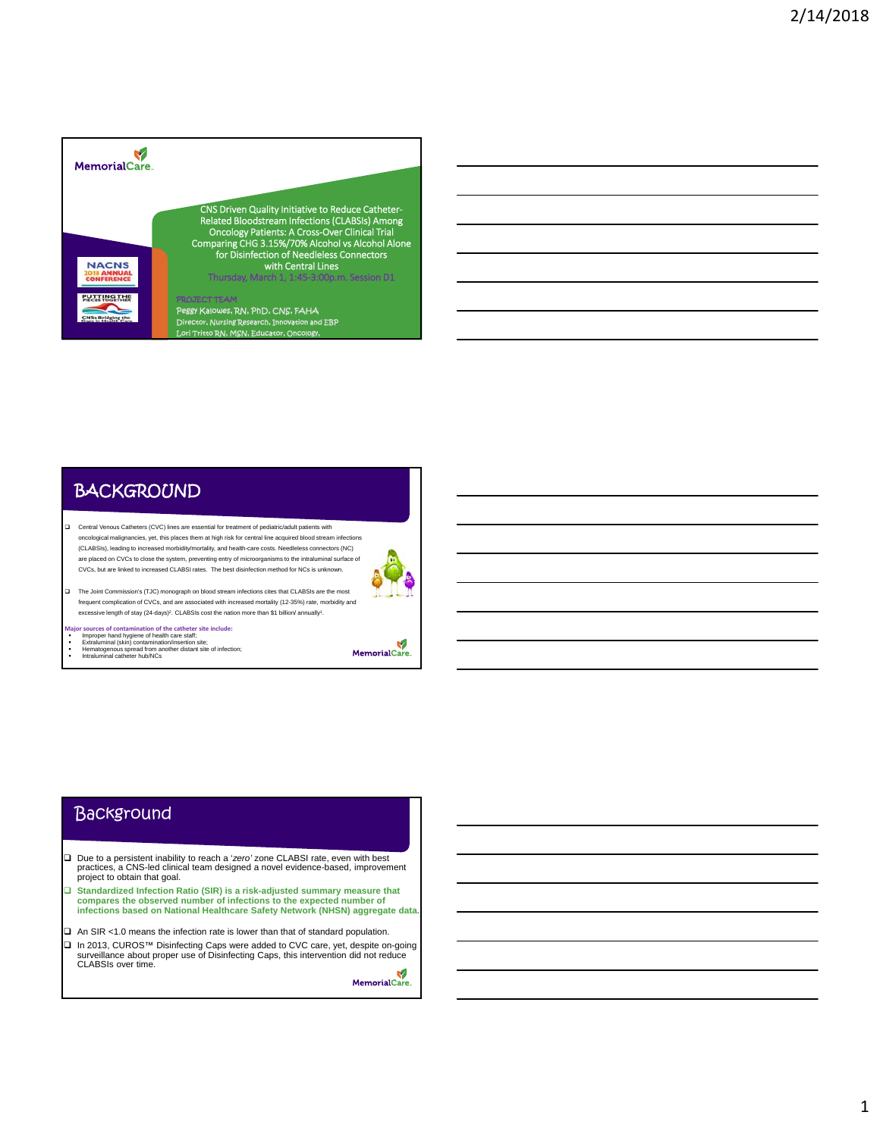

# **BACKGROUND**

 Central Venous Catheters (CVC) lines are essential for treatment of pediatric/adult patients with oncological malignancies, yet, this places them at high risk for central line acquired blood stream infections (CLABSIs), leading to increased morbidity/mortality, and health-care costs. Needleless connectors (NC) are placed on CVCs to close the system, preventing entry of microorganisms to the intraluminal surface of CVCs, but are linked to increased CLABSI rates. The best disinfection method for NCs is unknown. The Joint Commission's (TJC) monograph on blood stream infections cites that CLABSIs are the most



frequent complication of CVCs, and are associated with increased mortality (12-35%) rate, morbidity and excessive length of stay (24-days)<sup>2</sup>. CLABSIs cost the nation more than \$1 billion/ annually<sup>1</sup>.

- 
- Major sources of contamination of the catheter site include:<br>
Improper hand hygiene of health care staff;<br>
Extraluminal (skin) contamination/insertion site;<br>
Hematogenous spread from another distant site of infection;<br>
Int
- 

MemorialCare.

### **Background**

- □ Due to a persistent inability to reach a 'zero' zone CLABSI rate, even with best practices, a CNS-led clinical team designed a novel evidence-based, improvement project to obtain that goal.
- **Standardized Infection Ratio (SIR) is a risk-adjusted summary measure that compares the observed number of infections to the expected number of infections based on National Healthcare Safety Network (NHSN) aggregate data.**
- $\Box$  An SIR <1.0 means the infection rate is lower than that of standard population.
- In 2013, CUROS™ Disinfecting Caps were added to CVC care, yet, despite on-going surveillance about proper use of Disinfecting Caps, this intervention did not reduce CLABSIs over time.V

MemorialCare.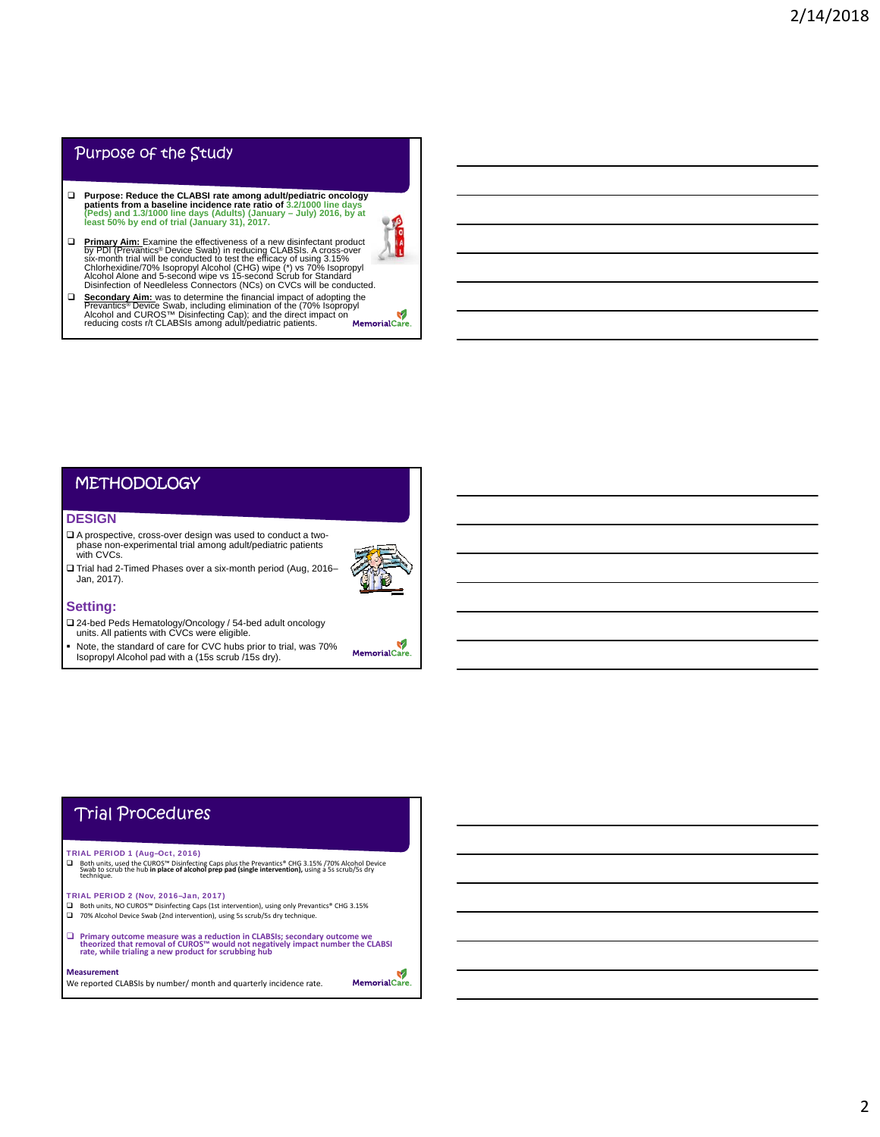### Purpose of the Study

- □ Purpose: Reduce the CLABSI rate among adult/pediatric oncology<br>patients from a baseline incidence rate ratio of 3.2/1000 line days<br>(Peds) and 1.3/1000 line days (Adults) (January July) 2016, by at<br>least 50% by end of
- **D** Primary Aim: Examine the effectiveness of a new disinfectant product<br>by PDI (Prevantics® Device Swab) in reducing CLABSIs. A cross-over<br>six-month trial will be conducted to test the efficacy of using 3.15%<br>Chlorhexidin
- □ **Secondary Aim:** was to determine the financial impact of adopting the Prevantics® Device Swab, including elimination of the (70% Isopropyl Alcohol and CUROS™ Disinfecting Cap); and the direct impact on reducing costs r

### **METHODOLOGY**

### **DESIGN**

- A prospective, cross-over design was used to conduct a twophase non-experimental trial among adult/pediatric patients with CVCs. Trial had 2-Timed Phases over a six-month period (Aug, 2016–
- 

MemorialCare.

### **Setting:**

Jan, 2017).

- 24-bed Peds Hematology/Oncology / 54-bed adult oncology units. All patients with CVCs were eligible.
- Note, the standard of care for CVC hubs prior to trial, was 70% Isopropyl Alcohol pad with a (15s scrub /15s dry).

## Trial Procedures

### TRIAL PERIOD 1 (Aug–Oct, 2016)

□ Both units, used the CUROS<sup>tw</sup> Disinfecting Caps plus the Prevantics® CHG 3.15% /70% Alcohol Device<br>Swab to scrub the hub **in place of alcohol prep pad (single intervention)**, using a 5s scrub/5s dry<br>technique.

TRIAL PERIOD 2 (Nov, 2016–Jan, 2017)

- Both units, NO CUROS™ Disinfecting Caps (1st intervention), using only Prevantics® CHG 3.15% 70% Alcohol Device Swab (2nd intervention), using 5s scrub/5s dry technique.
- $\Box$  Primary outcome measure was a reduction in CLABSIs; secondary outcome we theorized that removal of CUROS<sup>TM</sup> would not negatively impact number the CLABSI rate, while trialing a new product for scrubbing hub

#### **Measurement**

We reported CLABSIs by number/ month and quarterly incidence rate.

V MemorialCare.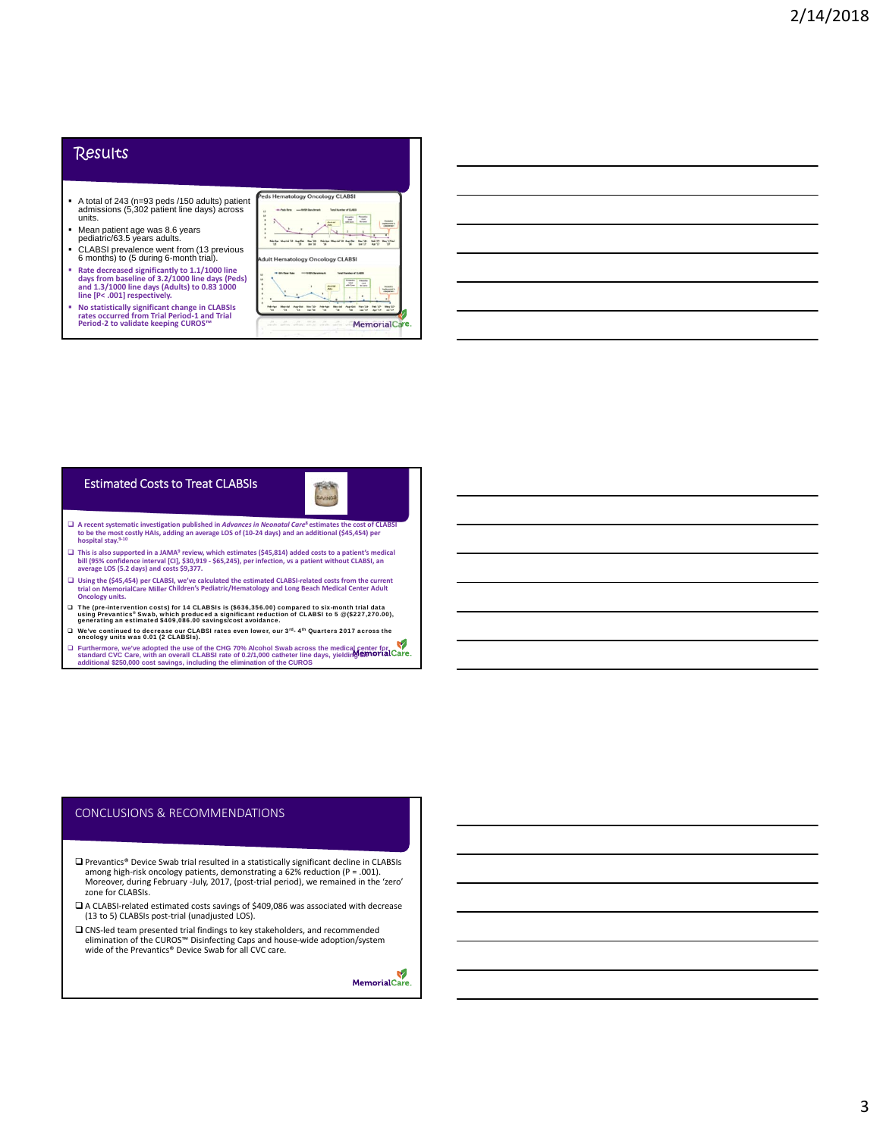### **Results**

- A total of 243 (n=93 peds /150 adults) patient admissions (5,302 patient line days) across units.
- Mean patient age was 8.6 years pediatric/63.5 years adults.
- CLABSI prevalence went from (13 previous 6 months) to (5 during 6-month trial).
- o includibly to U during D-month that).<br>Rate decreased significantly to 1.1/1000 line<br>days from baseline of 3.2/1000 line days (Peds<br>and 1.3/1000 line days (Adults) to 0.83 1000<br>line [P< .001] respectively.
- and the statistically significant change in CLABSIs<br>
No statistically significant change in CLABSIs<br>
rates occurred from Trial Period-1 and Trial<br>
Period-2 to validate keeping CUROS™

| $\alpha$<br>is.<br>٠ |                                         |   | <b>bester</b>                              | <b>Roughly</b><br>r.<br>sale bare      | Founder<br>$\overline{a}$<br><b>TRISIAN</b> | deniman's<br><b>STATISTICS</b>        |
|----------------------|-----------------------------------------|---|--------------------------------------------|----------------------------------------|---------------------------------------------|---------------------------------------|
|                      | Febrikan Mearine 3.9 Augusta<br>w       | w |                                            | Pale-Row Mean had Toll - Kany Chat     | 100'17                                      | May 12 Aut<br>Pada 'JiP<br>44'33<br>÷ |
|                      | <b>Adult Hematology Oncology CLABSI</b> |   |                                            |                                        |                                             |                                       |
|                      |                                         |   | <b><i><u><b>ISBN Baradenad</b></u></i></b> | <b>Sanford CLARK</b><br><b>Seattle</b> | <b>PAULA</b>                                |                                       |
|                      |                                         |   | <b>Rando</b>                               | $\sim$<br>after fixes                  | $\sim$<br><b>BETWEEN</b>                    | shound?                               |
|                      |                                         |   |                                            |                                        |                                             |                                       |

BAVINGS

### Estimated Costs to Treat CLABSIs

- $\Box$  A recent systematic investigation published in Advances in Neonatal Care<sup>s</sup> estimates the cost of CLABSI<br>to be the most costly HAIs, adding an average LOS of (10-24 days) and an additional (\$45,454) per **hospital stay.9‐<sup>10</sup>**
- □ This is also supported in a JAMA<sup>9</sup> review, which estimates (\$45,814) added costs to a patient's medical<br>bill (95% confidence interval [Cl], \$30,919 \$65,245), per infection, vs a patient without CLABSI, an<br>average LOS
- □ Using the (\$45,454) per CLABSI, we've calculated the estimated CLABSI-related costs from the current<br>trial on MemorialCare Miller Children's Pediatric/Hematology and Long Beach Medical Center Adult **Oncology units.**
- □ The (pre-intervention costs) for 14 CLABSIs is (\$636,356.00) compared to six-month trial data<br>using Prevantics' Swab, which produced a significant reduction of CLABSI to 5 ⊛ (\$227,270.00),<br>generating an estimated \$409,0
- We've continued to decrease our CLABSI rates even lower, our 3rd- 4th Quarters 2017 across the oncology units was 0.01 (2 CLABSIs).
- □ Furthermore, we've adopted the use of the CHG 70% Alcohol Swab across the medical center for<br>standard CVC Care, with an overall CLABSI rate of 0.2/1,000 catheter line days, yielding examplement<br>additional \$250,000 cost

### CONCLUSIONS & RECOMMENDATIONS

- □ Prevantics® Device Swab trial resulted in a statistically significant decline in CLABSIs among high-risk oncology patients, demonstrating a 62% reduction (P = .001). Moreover, during February -July, 2017, (post-trial period), we remained in the 'zero' zone for CLABSIs.
- A CLABSI‐related estimated costs savings of \$409,086 was associated with decrease (13 to 5) CLABSIs post‐trial (unadjusted LOS).
- CNS‐led team presented trial findings to key stakeholders, and recommended elimination of the CUROS™ Disinfecting Caps and house‐wide adoption/system wide of the Prevantics® Device Swab for all CVC care.

V MemorialCare.